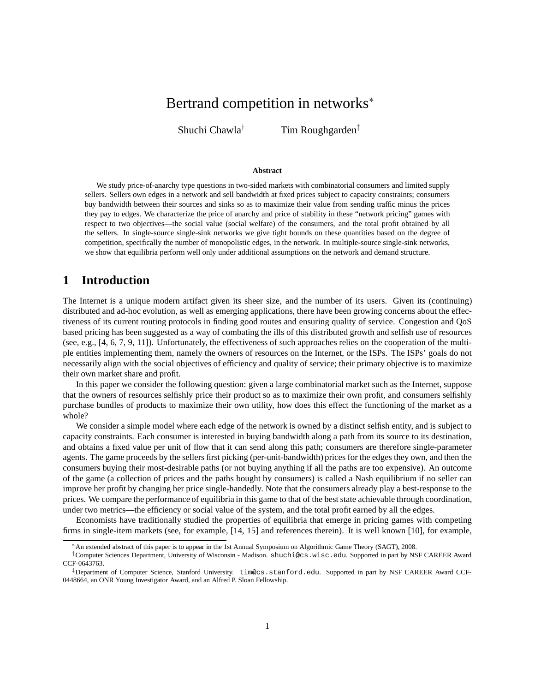# Bertrand competition in networks<sup>∗</sup>

Shuchi Chawla<sup>†</sup> Tim Roughgarden<sup>‡</sup>

#### **Abstract**

We study price-of-anarchy type questions in two-sided markets with combinatorial consumers and limited supply sellers. Sellers own edges in a network and sell bandwidth at fixed prices subject to capacity constraints; consumers buy bandwidth between their sources and sinks so as to maximize their value from sending traffic minus the prices they pay to edges. We characterize the price of anarchy and price of stability in these "network pricing" games with respect to two objectives—the social value (social welfare) of the consumers, and the total profit obtained by all the sellers. In single-source single-sink networks we give tight bounds on these quantities based on the degree of competition, specifically the number of monopolistic edges, in the network. In multiple-source single-sink networks, we show that equilibria perform well only under additional assumptions on the network and demand structure.

### **1 Introduction**

The Internet is a unique modern artifact given its sheer size, and the number of its users. Given its (continuing) distributed and ad-hoc evolution, as well as emerging applications, there have been growing concerns about the effectiveness of its current routing protocols in finding good routes and ensuring quality of service. Congestion and QoS based pricing has been suggested as a way of combating the ills of this distributed growth and selfish use of resources (see, e.g., [4, 6, 7, 9, 11]). Unfortunately, the effectiveness of such approaches relies on the cooperation of the multiple entities implementing them, namely the owners of resources on the Internet, or the ISPs. The ISPs' goals do not necessarily align with the social objectives of efficiency and quality of service; their primary objective is to maximize their own market share and profit.

In this paper we consider the following question: given a large combinatorial market such as the Internet, suppose that the owners of resources selfishly price their product so as to maximize their own profit, and consumers selfishly purchase bundles of products to maximize their own utility, how does this effect the functioning of the market as a whole?

We consider a simple model where each edge of the network is owned by a distinct selfish entity, and is subject to capacity constraints. Each consumer is interested in buying bandwidth along a path from its source to its destination, and obtains a fixed value per unit of flow that it can send along this path; consumers are therefore single-parameter agents. The game proceeds by the sellers first picking (per-unit-bandwidth) prices for the edges they own, and then the consumers buying their most-desirable paths (or not buying anything if all the paths are too expensive). An outcome of the game (a collection of prices and the paths bought by consumers) is called a Nash equilibrium if no seller can improve her profit by changing her price single-handedly. Note that the consumers already play a best-response to the prices. We compare the performance of equilibria in this game to that of the best state achievable through coordination, under two metrics—the efficiency or social value of the system, and the total profit earned by all the edges.

Economists have traditionally studied the properties of equilibria that emerge in pricing games with competing firms in single-item markets (see, for example, [14, 15] and references therein). It is well known [10], for example,

<sup>∗</sup>An extended abstract of this paper is to appear in the 1st Annual Symposium on Algorithmic Game Theory (SAGT), 2008.

<sup>†</sup>Computer Sciences Department, University of Wisconsin - Madison. shuchi@cs.wisc.edu. Supported in part by NSF CAREER Award CCF-0643763.

<sup>‡</sup>Department of Computer Science, Stanford University. tim@cs.stanford.edu. Supported in part by NSF CAREER Award CCF-0448664, an ONR Young Investigator Award, and an Alfred P. Sloan Fellowship.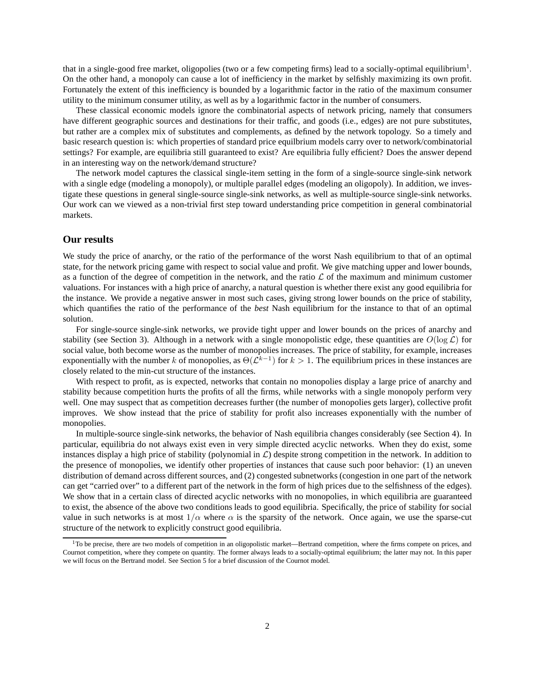that in a single-good free market, oligopolies (two or a few competing firms) lead to a socially-optimal equilibrium<sup>1</sup>. On the other hand, a monopoly can cause a lot of inefficiency in the market by selfishly maximizing its own profit. Fortunately the extent of this inefficiency is bounded by a logarithmic factor in the ratio of the maximum consumer utility to the minimum consumer utility, as well as by a logarithmic factor in the number of consumers.

These classical economic models ignore the combinatorial aspects of network pricing, namely that consumers have different geographic sources and destinations for their traffic, and goods (i.e., edges) are not pure substitutes, but rather are a complex mix of substitutes and complements, as defined by the network topology. So a timely and basic research question is: which properties of standard price equilbrium models carry over to network/combinatorial settings? For example, are equilibria still guaranteed to exist? Are equilibria fully efficient? Does the answer depend in an interesting way on the network/demand structure?

The network model captures the classical single-item setting in the form of a single-source single-sink network with a single edge (modeling a monopoly), or multiple parallel edges (modeling an oligopoly). In addition, we investigate these questions in general single-source single-sink networks, as well as multiple-source single-sink networks. Our work can we viewed as a non-trivial first step toward understanding price competition in general combinatorial markets.

#### **Our results**

We study the price of anarchy, or the ratio of the performance of the worst Nash equilibrium to that of an optimal state, for the network pricing game with respect to social value and profit. We give matching upper and lower bounds, as a function of the degree of competition in the network, and the ratio  $\mathcal L$  of the maximum and minimum customer valuations. For instances with a high price of anarchy, a natural question is whether there exist any good equilibria for the instance. We provide a negative answer in most such cases, giving strong lower bounds on the price of stability, which quantifies the ratio of the performance of the *best* Nash equilibrium for the instance to that of an optimal solution.

For single-source single-sink networks, we provide tight upper and lower bounds on the prices of anarchy and stability (see Section 3). Although in a network with a single monopolistic edge, these quantities are  $O(\log \mathcal{L})$  for social value, both become worse as the number of monopolies increases. The price of stability, for example, increases exponentially with the number k of monopolies, as  $\Theta(\mathcal{L}^{k-1})$  for  $k>1$ . The equilibrium prices in these instances are closely related to the min-cut structure of the instances.

With respect to profit, as is expected, networks that contain no monopolies display a large price of anarchy and stability because competition hurts the profits of all the firms, while networks with a single monopoly perform very well. One may suspect that as competition decreases further (the number of monopolies gets larger), collective profit improves. We show instead that the price of stability for profit also increases exponentially with the number of monopolies.

In multiple-source single-sink networks, the behavior of Nash equilibria changes considerably (see Section 4). In particular, equilibria do not always exist even in very simple directed acyclic networks. When they do exist, some instances display a high price of stability (polynomial in  $\mathcal{L}$ ) despite strong competition in the network. In addition to the presence of monopolies, we identify other properties of instances that cause such poor behavior: (1) an uneven distribution of demand across different sources, and (2) congested subnetworks (congestion in one part of the network can get "carried over" to a different part of the network in the form of high prices due to the selfishness of the edges). We show that in a certain class of directed acyclic networks with no monopolies, in which equilibria are guaranteed to exist, the absence of the above two conditions leads to good equilibria. Specifically, the price of stability for social value in such networks is at most  $1/\alpha$  where  $\alpha$  is the sparsity of the network. Once again, we use the sparse-cut structure of the network to explicitly construct good equilibria.

<sup>&</sup>lt;sup>1</sup>To be precise, there are two models of competition in an oligopolistic market—Bertrand competition, where the firms compete on prices, and Cournot competition, where they compete on quantity. The former always leads to a socially-optimal equilibrium; the latter may not. In this paper we will focus on the Bertrand model. See Section 5 for a brief discussion of the Cournot model.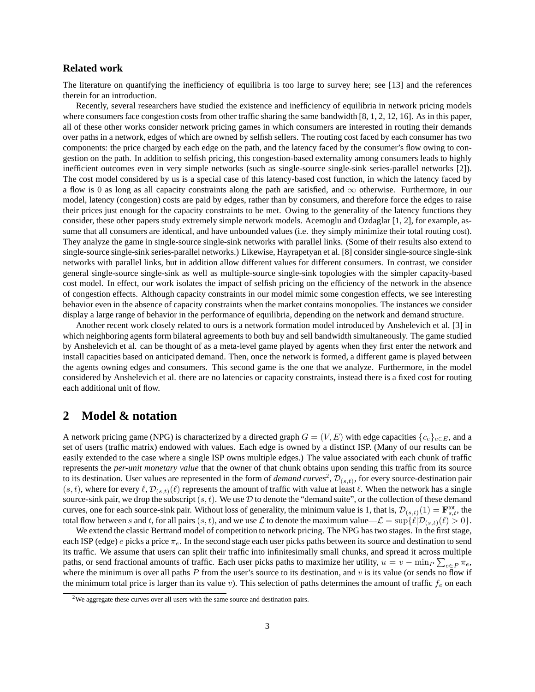#### **Related work**

The literature on quantifying the inefficiency of equilibria is too large to survey here; see [13] and the references therein for an introduction.

Recently, several researchers have studied the existence and inefficiency of equilibria in network pricing models where consumers face congestion costs from other traffic sharing the same bandwidth [8, 1, 2, 12, 16]. As in this paper, all of these other works consider network pricing games in which consumers are interested in routing their demands over paths in a network, edges of which are owned by selfish sellers. The routing cost faced by each consumer has two components: the price charged by each edge on the path, and the latency faced by the consumer's flow owing to congestion on the path. In addition to selfish pricing, this congestion-based externality among consumers leads to highly inefficient outcomes even in very simple networks (such as single-source single-sink series-parallel networks [2]). The cost model considered by us is a special case of this latency-based cost function, in which the latency faced by a flow is 0 as long as all capacity constraints along the path are satisfied, and  $\infty$  otherwise. Furthermore, in our model, latency (congestion) costs are paid by edges, rather than by consumers, and therefore force the edges to raise their prices just enough for the capacity constraints to be met. Owing to the generality of the latency functions they consider, these other papers study extremely simple network models. Acemoglu and Ozdaglar [1, 2], for example, assume that all consumers are identical, and have unbounded values (i.e. they simply minimize their total routing cost). They analyze the game in single-source single-sink networks with parallel links. (Some of their results also extend to single-source single-sink series-parallel networks.) Likewise, Hayrapetyan et al. [8] consider single-source single-sink networks with parallel links, but in addition allow different values for different consumers. In contrast, we consider general single-source single-sink as well as multiple-source single-sink topologies with the simpler capacity-based cost model. In effect, our work isolates the impact of selfish pricing on the efficiency of the network in the absence of congestion effects. Although capacity constraints in our model mimic some congestion effects, we see interesting behavior even in the absence of capacity constraints when the market contains monopolies. The instances we consider display a large range of behavior in the performance of equilibria, depending on the network and demand structure.

Another recent work closely related to ours is a network formation model introduced by Anshelevich et al. [3] in which neighboring agents form bilateral agreements to both buy and sell bandwidth simultaneously. The game studied by Anshelevich et al. can be thought of as a meta-level game played by agents when they first enter the network and install capacities based on anticipated demand. Then, once the network is formed, a different game is played between the agents owning edges and consumers. This second game is the one that we analyze. Furthermore, in the model considered by Anshelevich et al. there are no latencies or capacity constraints, instead there is a fixed cost for routing each additional unit of flow.

#### **2 Model & notation**

A network pricing game (NPG) is characterized by a directed graph  $G = (V, E)$  with edge capacities  $\{c_e\}_{e \in E}$ , and a set of users (traffic matrix) endowed with values. Each edge is owned by a distinct ISP. (Many of our results can be easily extended to the case where a single ISP owns multiple edges.) The value associated with each chunk of traffic represents the *per-unit monetary value* that the owner of that chunk obtains upon sending this traffic from its source to its destination. User values are represented in the form of *demand curves*<sup>2</sup>,  $\mathcal{D}_{(s,t)}$ , for every source-destination pair  $(s, t)$ , where for every  $\ell$ ,  $\mathcal{D}_{(s,t)}(\ell)$  represents the amount of traffic with value at least  $\ell$ . When the network has a single source-sink pair, we drop the subscript  $(s, t)$ . We use D to denote the "demand suite", or the collection of these demand curves, one for each source-sink pair. Without loss of generality, the minimum value is 1, that is,  $\mathcal{D}_{(s,t)}(1) = \mathbf{F}_{s,t}^{\text{tot}}$ , the total flow between s and t, for all pairs  $(s, t)$ , and we use L to denote the maximum value— $\mathcal{L} = \sup\{ \ell | \mathcal{D}_{(s,t)}(\ell) > 0 \}.$ 

We extend the classic Bertrand model of competition to network pricing. The NPG has two stages. In the first stage, each ISP (edge) e picks a price  $\pi_e$ . In the second stage each user picks paths between its source and destination to send its traffic. We assume that users can split their traffic into infinitesimally small chunks, and spread it across multiple paths, or send fractional amounts of traffic. Each user picks paths to maximize her utility,  $u = v - \min_P \sum_{e \in P} \pi_e$ , where the minimum is over all paths  $P$  from the user's source to its destination, and  $v$  is its value (or sends no flow if the minimum total price is larger than its value v). This selection of paths determines the amount of traffic  $f_e$  on each

 $2$ We aggregate these curves over all users with the same source and destination pairs.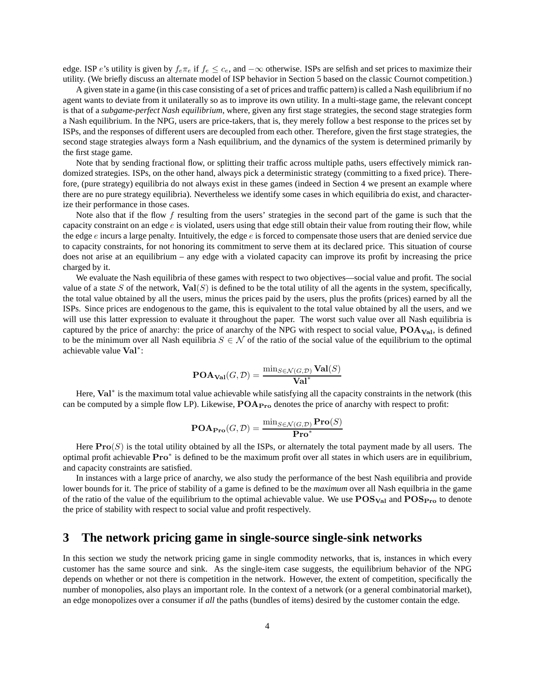edge. ISP e's utility is given by  $f_e \pi_e$  if  $f_e \leq c_e$ , and  $-\infty$  otherwise. ISPs are selfish and set prices to maximize their utility. (We briefly discuss an alternate model of ISP behavior in Section 5 based on the classic Cournot competition.)

A given state in a game (in this case consisting of a set of prices and traffic pattern) is called a Nash equilibrium if no agent wants to deviate from it unilaterally so as to improve its own utility. In a multi-stage game, the relevant concept is that of a *subgame-perfect Nash equilibrium*, where, given any first stage strategies, the second stage strategies form a Nash equilibrium. In the NPG, users are price-takers, that is, they merely follow a best response to the prices set by ISPs, and the responses of different users are decoupled from each other. Therefore, given the first stage strategies, the second stage strategies always form a Nash equilibrium, and the dynamics of the system is determined primarily by the first stage game.

Note that by sending fractional flow, or splitting their traffic across multiple paths, users effectively mimick randomized strategies. ISPs, on the other hand, always pick a deterministic strategy (committing to a fixed price). Therefore, (pure strategy) equilibria do not always exist in these games (indeed in Section 4 we present an example where there are no pure strategy equilibria). Nevertheless we identify some cases in which equilibria do exist, and characterize their performance in those cases.

Note also that if the flow  $f$  resulting from the users' strategies in the second part of the game is such that the capacity constraint on an edge  $e$  is violated, users using that edge still obtain their value from routing their flow, while the edge  $e$  incurs a large penalty. Intuitively, the edge  $e$  is forced to compensate those users that are denied service due to capacity constraints, for not honoring its commitment to serve them at its declared price. This situation of course does not arise at an equilibrium – any edge with a violated capacity can improve its profit by increasing the price charged by it.

We evaluate the Nash equilibria of these games with respect to two objectives—social value and profit. The social value of a state S of the network,  $\text{Val}(S)$  is defined to be the total utility of all the agents in the system, specifically, the total value obtained by all the users, minus the prices paid by the users, plus the profits (prices) earned by all the ISPs. Since prices are endogenous to the game, this is equivalent to the total value obtained by all the users, and we will use this latter expression to evaluate it throughout the paper. The worst such value over all Nash equilibria is captured by the price of anarchy: the price of anarchy of the NPG with respect to social value,  $POA<sub>Val</sub>$ , is defined to be the minimum over all Nash equilibria  $S \in \mathcal{N}$  of the ratio of the social value of the equilibrium to the optimal achievable value Val<sup>\*</sup>:

$$
\mathbf{POA}_{\mathbf{Val}}(G, \mathcal{D}) = \frac{\min_{S \in \mathcal{N}(G, \mathcal{D})} \mathbf{Val}(S)}{\mathbf{Val}^*}
$$

Here, Val<sup>∗</sup> is the maximum total value achievable while satisfying all the capacity constraints in the network (this can be computed by a simple flow LP). Likewise,  $POA<sub>Pro</sub>$  denotes the price of anarchy with respect to profit:

$$
\mathbf{POA}_{\mathbf{Pro}}(G,\mathcal{D})=\frac{\min_{S\in\mathcal{N}(G,\mathcal{D})}\mathbf{Pro}(S)}{\mathbf{Pro}^*}
$$

Here  $\text{Pro}(S)$  is the total utility obtained by all the ISPs, or alternately the total payment made by all users. The optimal profit achievable Pro<sup>∗</sup> is defined to be the maximum profit over all states in which users are in equilibrium, and capacity constraints are satisfied.

In instances with a large price of anarchy, we also study the performance of the best Nash equilibria and provide lower bounds for it. The price of stability of a game is defined to be the *maximum* over all Nash equilbria in the game of the ratio of the value of the equilibrium to the optimal achievable value. We use  $\mathrm{POS}_{\mathrm{Va}}$  and  $\mathrm{POS}_{\mathrm{Pro}}$  to denote the price of stability with respect to social value and profit respectively.

#### **3 The network pricing game in single-source single-sink networks**

In this section we study the network pricing game in single commodity networks, that is, instances in which every customer has the same source and sink. As the single-item case suggests, the equilibrium behavior of the NPG depends on whether or not there is competition in the network. However, the extent of competition, specifically the number of monopolies, also plays an important role. In the context of a network (or a general combinatorial market), an edge monopolizes over a consumer if *all* the paths (bundles of items) desired by the customer contain the edge.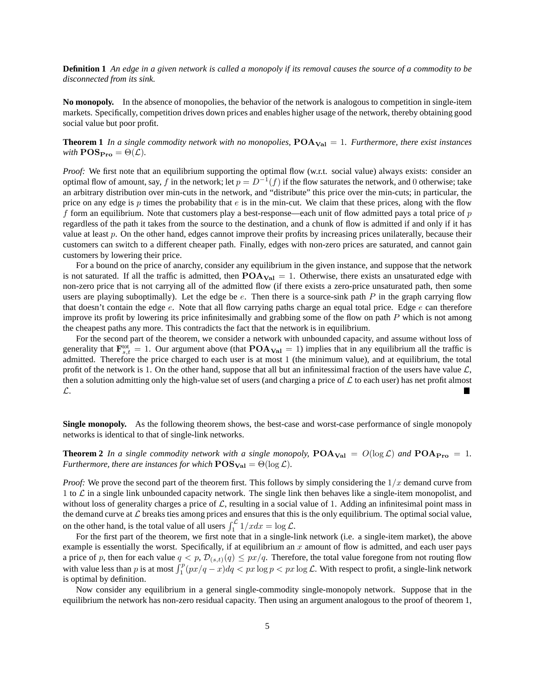**Definition 1** *An edge in a given network is called a monopoly if its removal causes the source of a commodity to be disconnected from its sink.*

**No monopoly.** In the absence of monopolies, the behavior of the network is analogous to competition in single-item markets. Specifically, competition drives down prices and enables higher usage of the network, thereby obtaining good social value but poor profit.

**Theorem 1** In a single commodity network with no monopolies,  $\text{POA}_{\text{Val}} = 1$ . Furthermore, there exist instances *with*  $\mathbf{POS}_{\mathbf{Pro}} = \Theta(\mathcal{L})$ *.* 

*Proof:* We first note that an equilibrium supporting the optimal flow (w.r.t. social value) always exists: consider an optimal flow of amount, say, f in the network; let  $p = D^{-1}(f)$  if the flow saturates the network, and 0 otherwise; take an arbitrary distribution over min-cuts in the network, and "distribute" this price over the min-cuts; in particular, the price on any edge is p times the probability that  $e$  is in the min-cut. We claim that these prices, along with the flow f form an equilibrium. Note that customers play a best-response—each unit of flow admitted pays a total price of  $p$ regardless of the path it takes from the source to the destination, and a chunk of flow is admitted if and only if it has value at least  $p$ . On the other hand, edges cannot improve their profits by increasing prices unilaterally, because their customers can switch to a different cheaper path. Finally, edges with non-zero prices are saturated, and cannot gain customers by lowering their price.

For a bound on the price of anarchy, consider any equilibrium in the given instance, and suppose that the network is not saturated. If all the traffic is admitted, then  $\text{POA}_{\text{Val}} = 1$ . Otherwise, there exists an unsaturated edge with non-zero price that is not carrying all of the admitted flow (if there exists a zero-price unsaturated path, then some users are playing suboptimally). Let the edge be  $e$ . Then there is a source-sink path  $P$  in the graph carrying flow that doesn't contain the edge  $e$ . Note that all flow carrying paths charge an equal total price. Edge  $e$  can therefore improve its profit by lowering its price infinitesimally and grabbing some of the flow on path  $P$  which is not among the cheapest paths any more. This contradicts the fact that the network is in equilibrium.

For the second part of the theorem, we consider a network with unbounded capacity, and assume without loss of generality that  $\mathbf{F}_{s,t}^{\text{tot}} = 1$ . Our argument above (that  $\mathbf{POA}_{\text{Val}} = 1$ ) implies that in any equilibrium all the traffic is admitted. Therefore the price charged to each user is at most 1 (the minimum value), and at equilibrium, the total profit of the network is 1. On the other hand, suppose that all but an infinitessimal fraction of the users have value  $\mathcal{L}$ , then a solution admitting only the high-value set of users (and charging a price of  $\mathcal L$  to each user) has net profit almost L.

**Single monopoly.** As the following theorem shows, the best-case and worst-case performance of single monopoly networks is identical to that of single-link networks.

**Theorem 2** In a single commodity network with a single monopoly,  $\mathbf{POA}_{\mathbf{Val}} = O(\log \mathcal{L})$  and  $\mathbf{POA}_{\mathbf{Pro}} = 1$ . *Furthermore, there are instances for which*  $\text{POS}_{\text{Val}} = \Theta(\log \mathcal{L})$ *.* 

*Proof:* We prove the second part of the theorem first. This follows by simply considering the  $1/x$  demand curve from 1 to  $\mathcal L$  in a single link unbounded capacity network. The single link then behaves like a single-item monopolist, and without loss of generality charges a price of  $\mathcal{L}$ , resulting in a social value of 1. Adding an infinitesimal point mass in the demand curve at  $\mathcal L$  breaks ties among prices and ensures that this is the only equilibrium. The optimal social value, on the other hand, is the total value of all users  $\int_1^{\mathcal{L}} 1/x dx = \log \mathcal{L}$ .

For the first part of the theorem, we first note that in a single-link network (i.e. a single-item market), the above example is essentially the worst. Specifically, if at equilibrium an  $x$  amount of flow is admitted, and each user pays a price of p, then for each value  $q < p$ ,  $\mathcal{D}_{(s,t)}(q) \leq px/q$ . Therefore, the total value foregone from not routing flow with value less than p is at most  $\int_1^p (px/q - x) dq < px \log p < px \log \mathcal{L}$ . With respect to profit, a single-link network is optimal by definition.

Now consider any equilibrium in a general single-commodity single-monopoly network. Suppose that in the equilibrium the network has non-zero residual capacity. Then using an argument analogous to the proof of theorem 1,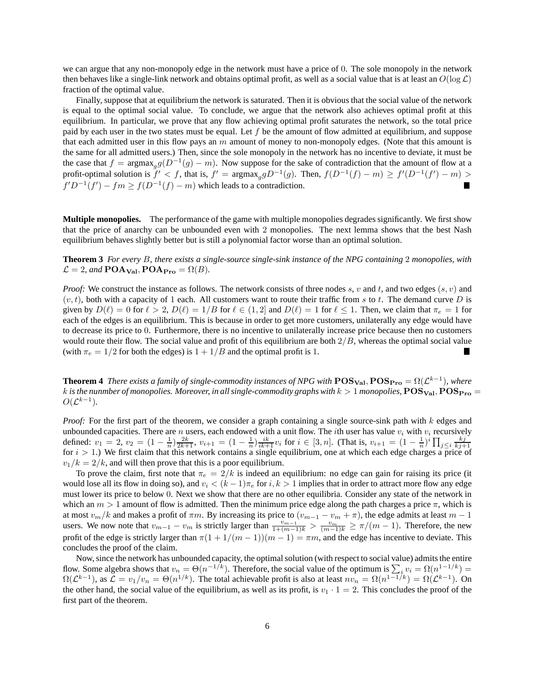we can argue that any non-monopoly edge in the network must have a price of 0. The sole monopoly in the network then behaves like a single-link network and obtains optimal profit, as well as a social value that is at least an  $O(\log \mathcal{L})$ fraction of the optimal value.

Finally, suppose that at equilibrium the network is saturated. Then it is obvious that the social value of the network is equal to the optimal social value. To conclude, we argue that the network also achieves optimal profit at this equilibrium. In particular, we prove that any flow achieving optimal profit saturates the network, so the total price paid by each user in the two states must be equal. Let  $f$  be the amount of flow admitted at equilibrium, and suppose that each admitted user in this flow pays an  $m$  amount of money to non-monopoly edges. (Note that this amount is the same for all admitted users.) Then, since the sole monopoly in the network has no incentive to deviate, it must be the case that  $f = \text{argmax}_g g(D^{-1}(g) - m)$ . Now suppose for the sake of contradiction that the amount of flow at a profit-optimal solution is  $f' < f$ , that is,  $f' = \text{argmax}_g g D^{-1}(g)$ . Then,  $f(D^{-1}(f) - m) \ge f'(D^{-1}(f') - m)$  $f'D^{-1}(f') - fm \ge f(D^{-1}(f) - m)$  which leads to a contradiction. П

**Multiple monopolies.** The performance of the game with multiple monopolies degrades significantly. We first show that the price of anarchy can be unbounded even with 2 monopolies. The next lemma shows that the best Nash equilibrium behaves slightly better but is still a polynomial factor worse than an optimal solution.

**Theorem 3** *For every* B*, there exists a single-source single-sink instance of the NPG containing* 2 *monopolies, with*  $\mathcal{L} = 2$ *, and*  $\text{POA}_{\text{Val}}$ ,  $\text{POA}_{\text{Pro}} = \Omega(B)$ *.* 

*Proof:* We construct the instance as follows. The network consists of three nodes  $s, v$  and  $t$ , and two edges  $(s, v)$  and  $(v, t)$ , both with a capacity of 1 each. All customers want to route their traffic from s to t. The demand curve D is given by  $D(\ell) = 0$  for  $\ell > 2$ ,  $D(\ell) = 1/B$  for  $\ell \in (1, 2]$  and  $D(\ell) = 1$  for  $\ell \le 1$ . Then, we claim that  $\pi_e = 1$  for each of the edges is an equilibrium. This is because in order to get more customers, unilaterally any edge would have to decrease its price to 0. Furthermore, there is no incentive to unilaterally increase price because then no customers would route their flow. The social value and profit of this equilibrium are both  $2/B$ , whereas the optimal social value (with  $\pi_e = 1/2$  for both the edges) is  $1 + 1/B$  and the optimal profit is 1. a l

**Theorem 4** *There exists a family of single-commodity instances of NPG with*  $\text{POS}_{\text{Val}}$ ,  $\text{POS}_{\text{Pro}} = \Omega(\mathcal{L}^{k-1})$ , where k is the nunmber of monopolies. Moreover, in all single-commodity graphs with  $k > 1$  monopolies,  $\bf{POS}_{\text{Val}}$ ,  $\bf{POS}_{\text{Pro}} =$  $O(\mathcal{L}^{k-1}).$ 

*Proof:* For the first part of the theorem, we consider a graph containing a single source-sink path with k edges and unbounded capacities. There are n users, each endowed with a unit flow. The *i*th user has value  $v_i$  with  $v_i$  recursively defined:  $v_1 = 2$ ,  $v_2 = (1 - \frac{1}{n})\frac{2k}{2k+1}$ ,  $v_{i+1} = (1 - \frac{1}{n})\frac{ik}{ik+1}v_i$  for  $i \in [3, n]$ . (That is,  $v_{i+1} = (1 - \frac{1}{n})^i \prod_{j \leq i} \frac{kj}{k_j+1}$  for  $i > 1$ .) We first claim that this network contains a single equilibrium  $v_1/k = 2/k$ , and will then prove that this is a poor equilibrium.

To prove the claim, first note that  $\pi_e = 2/k$  is indeed an equilibrium: no edge can gain for raising its price (it would lose all its flow in doing so), and  $v_i < (k-1)\pi_e$  for  $i, k > 1$  implies that in order to attract more flow any edge must lower its price to below 0. Next we show that there are no other equilibria. Consider any state of the network in which an  $m > 1$  amount of flow is admitted. Then the minimum price edge along the path charges a price  $\pi$ , which is at most  $v_m/k$  and makes a profit of  $\pi m$ . By increasing its price to  $(v_{m-1} - v_m + \pi)$ , the edge admits at least  $m-1$ users. We now note that  $v_{m-1} - v_m$  is strictly larger than  $\frac{v_{m-1}}{1+(m-1)k} > \frac{v_m}{(m-1)k} \ge \pi/(m-1)$ . Therefore, the new profit of the edge is strictly larger than  $\pi(1 + 1/(m - 1))(m - 1) = \pi m$ , and the edge has incentive to deviate. This concludes the proof of the claim.

Now, since the network has unbounded capacity, the optimal solution (with respect to social value) admits the entire flow. Some algebra shows that  $v_n = \Theta(n^{-1/k})$ . Therefore, the social value of the optimum is  $\sum_i v_i = \Omega(n^{1-1/k})$  $\Omega(\mathcal{L}^{k-1})$ , as  $\mathcal{L} = v_1/v_n = \Theta(n^{1/k})$ . The total achievable profit is also at least  $nv_n = \Omega(n^{1-1/k}) = \Omega(\mathcal{L}^{k-1})$ . On the other hand, the social value of the equilibrium, as well as its profit, is  $v_1 \cdot 1 = 2$ . This concludes the proof of the first part of the theorem.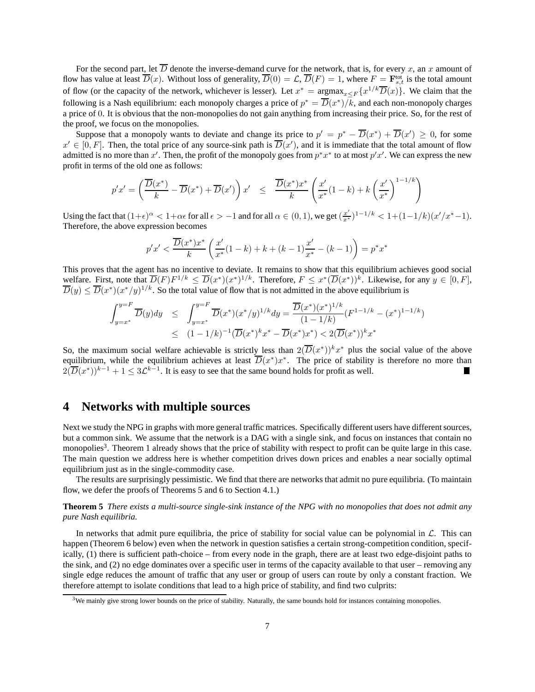For the second part, let  $\overline{D}$  denote the inverse-demand curve for the network, that is, for every x, an x amount of flow has value at least  $\overline{D}(x)$ . Without loss of generality,  $\overline{D}(0) = \mathcal{L}$ ,  $\overline{D}(F) = 1$ , where  $F = \mathbf{F}_{s,t}^{\text{tot}}$  is the total amount of flow (or the capacity of the network, whichever is lesser). Let  $x^* = \text{argmax}_{x \leq F} \{x^{1/k} \overline{D}(x)\}\)$ . We claim that the following is a Nash equilibrium: each monopoly charges a price of  $p^* = \overline{D}(x^*)/k$ , and each non-monopoly charges a price of 0. It is obvious that the non-monopolies do not gain anything from increasing their price. So, for the rest of the proof, we focus on the monopolies.

Suppose that a monopoly wants to deviate and change its price to  $p' = p^* - \overline{D}(x^*) + \overline{D}(x') \ge 0$ , for some  $x' \in [0, F]$ . Then, the total price of any source-sink path is  $\overline{D}(x')$ , and it is immediate that the total amount of flow admitted is no more than x'. Then, the profit of the monopoly goes from  $p^*x^*$  to at most  $p'x'$ . We can express the new profit in terms of the old one as follows:

$$
p'x' = \left(\frac{\overline{D}(x^*)}{k} - \overline{D}(x^*) + \overline{D}(x')\right)x' \le \frac{\overline{D}(x^*)x^*}{k}\left(\frac{x'}{x^*}(1-k) + k\left(\frac{x'}{x^*}\right)^{1-1/k}\right)
$$

Using the fact that  $(1+\epsilon)^{\alpha} < 1+\alpha\epsilon$  for all  $\epsilon > -1$  and for all  $\alpha \in (0,1)$ , we get  $(\frac{x'}{x^*})^{1-1/k} < 1+(1-1/k)(x'/x^*-1)$ . Therefore, the above expression becomes

$$
p'x' < \frac{\overline{D}(x^*)x^*}{k} \left(\frac{x'}{x^*}(1-k) + k + (k-1)\frac{x'}{x^*} - (k-1)\right) = p^*x^*
$$

This proves that the agent has no incentive to deviate. It remains to show that this equilibrium achieves good social welfare. First, note that  $\overline{D}(F)F^{1/k} \leq \overline{D}(x^*)(x^*)^{1/k}$ . Therefore,  $F \leq x^*(\overline{D}(x^*))^k$ . Likewise, for any  $y \in [0, F]$ ,  $\overline{D}(y) \le \overline{D}(x^*) (x^*/y)^{1/k}$ . So the total value of flow that is not admitted in the above equilibrium is

$$
\int_{y=x^*}^{y=F} \overline{D}(y) dy \le \int_{y=x^*}^{y=F} \overline{D}(x^*)(x^*/y)^{1/k} dy = \frac{\overline{D}(x^*)(x^*)^{1/k}}{(1-1/k)} (F^{1-1/k} - (x^*)^{1-1/k})
$$
  

$$
\le (1-1/k)^{-1} (\overline{D}(x^*)^k x^* - \overline{D}(x^*) x^*) < 2(\overline{D}(x^*))^k x^*
$$

So, the maximum social welfare achievable is strictly less than  $2(\overline{D}(x^*))^k x^*$  plus the social value of the above equilibrium, while the equilibrium achieves at least  $\overline{D}(x^*)x^*$ . The price of stability is therefore no more than  $2(\overline{D}(x^*))^{k-1} + 1 \leq 3\mathcal{L}^{k-1}$ . It is easy to see that the same bound holds for profit as well. П

### **4 Networks with multiple sources**

Next we study the NPG in graphs with more general traffic matrices. Specifically different users have different sources, but a common sink. We assume that the network is a DAG with a single sink, and focus on instances that contain no monopolies<sup>3</sup>. Theorem 1 already shows that the price of stability with respect to profit can be quite large in this case. The main question we address here is whether competition drives down prices and enables a near socially optimal equilibrium just as in the single-commodity case.

The results are surprisingly pessimistic. We find that there are networks that admit no pure equilibria. (To maintain flow, we defer the proofs of Theorems 5 and 6 to Section 4.1.)

**Theorem 5** *There exists a multi-source single-sink instance of the NPG with no monopolies that does not admit any pure Nash equilibria.*

In networks that admit pure equilibria, the price of stability for social value can be polynomial in  $\mathcal{L}$ . This can happen (Theorem 6 below) even when the network in question satisfies a certain strong-competition condition, specifically, (1) there is sufficient path-choice – from every node in the graph, there are at least two edge-disjoint paths to the sink, and (2) no edge dominates over a specific user in terms of the capacity available to that user – removing any single edge reduces the amount of traffic that any user or group of users can route by only a constant fraction. We therefore attempt to isolate conditions that lead to a high price of stability, and find two culprits:

<sup>&</sup>lt;sup>3</sup>We mainly give strong lower bounds on the price of stability. Naturally, the same bounds hold for instances containing monopolies.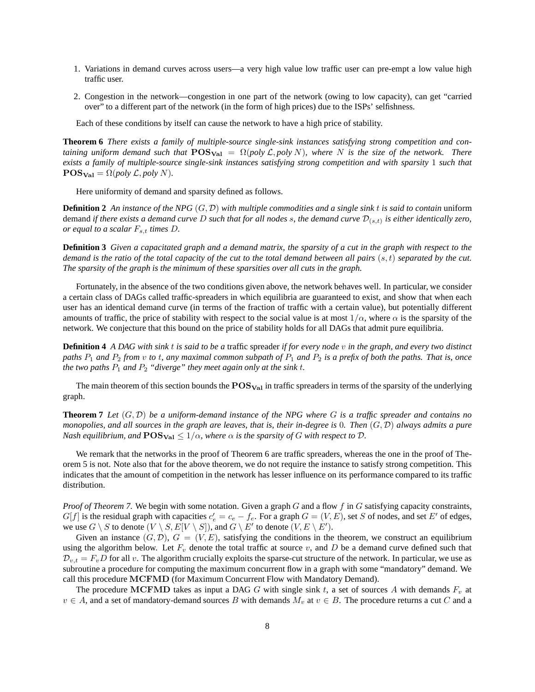- 1. Variations in demand curves across users—a very high value low traffic user can pre-empt a low value high traffic user.
- 2. Congestion in the network—congestion in one part of the network (owing to low capacity), can get "carried over" to a different part of the network (in the form of high prices) due to the ISPs' selfishness.

Each of these conditions by itself can cause the network to have a high price of stability.

**Theorem 6** *There exists a family of multiple-source single-sink instances satisfying strong competition and containing uniform demand such that*  $POS_{Val} = \Omega(poly \mathcal{L}, poly N)$ *, where* N *is the size of the network. There exists a family of multiple-source single-sink instances satisfying strong competition and with sparsity* 1 *such that*  $\textbf{POS}_{\textbf{Val}} = \Omega(\text{poly }\mathcal{L}, \text{poly }N).$ 

Here uniformity of demand and sparsity defined as follows.

**Definition 2** *An instance of the NPG* (G, D) *with multiple commodities and a single sink* t *is said to contain* uniform demand *if there exists a demand curve* D *such that for all nodes* s*, the demand curve* D(s,t) *is either identically zero, or equal to a scalar*  $F_{s,t}$  *times*  $D$ *.* 

**Definition 3** *Given a capacitated graph and a demand matrix, the sparsity of a cut in the graph with respect to the demand is the ratio of the total capacity of the cut to the total demand between all pairs* (s, t) *separated by the cut. The sparsity of the graph is the minimum of these sparsities over all cuts in the graph.*

Fortunately, in the absence of the two conditions given above, the network behaves well. In particular, we consider a certain class of DAGs called traffic-spreaders in which equilibria are guaranteed to exist, and show that when each user has an identical demand curve (in terms of the fraction of traffic with a certain value), but potentially different amounts of traffic, the price of stability with respect to the social value is at most  $1/\alpha$ , where  $\alpha$  is the sparsity of the network. We conjecture that this bound on the price of stability holds for all DAGs that admit pure equilibria.

**Definition 4** *A DAG with sink* t *is said to be a* traffic spreader *if for every node* v *in the graph, and every two distinct paths*  $P_1$  *and*  $P_2$  *from* v *to* t, any maximal common subpath of  $P_1$  and  $P_2$  is a prefix of both the paths. That is, once *the two paths*  $P_1$  *and*  $P_2$  "*diverge*" *they meet again only at the sink t.* 

The main theorem of this section bounds the  $\text{POS}_{\text{Val}}$  in traffic spreaders in terms of the sparsity of the underlying graph.

**Theorem 7** *Let* (G, D) *be a uniform-demand instance of the NPG where* G *is a traffic spreader and contains no monopolies, and all sources in the graph are leaves, that is, their in-degree is* 0*. Then* (G, D) *always admits a pure Nash equilibrium, and*  $\text{POS}_{\text{Val}} \leq 1/\alpha$ *, where*  $\alpha$  *is the sparsity of* G *with respect to*  $\mathcal{D}$ *.* 

We remark that the networks in the proof of Theorem 6 are traffic spreaders, whereas the one in the proof of Theorem 5 is not. Note also that for the above theorem, we do not require the instance to satisfy strong competition. This indicates that the amount of competition in the network has lesser influence on its performance compared to its traffic distribution.

*Proof of Theorem 7.* We begin with some notation. Given a graph G and a flow f in G satisfying capacity constraints,  $G[f]$  is the residual graph with capacities  $c'_e = c_e - f_e$ . For a graph  $G = (V, E)$ , set S of nodes, and set E' of edges, we use  $G \setminus S$  to denote  $(V \setminus S, E[V \setminus S])$ , and  $G \setminus E'$  to denote  $(V, E \setminus E')$ .

Given an instance  $(G, \mathcal{D})$ ,  $G = (V, E)$ , satisfying the conditions in the theorem, we construct an equilibrium using the algorithm below. Let  $F_v$  denote the total traffic at source v, and D be a demand curve defined such that  $\mathcal{D}_{v,t} = F_v D$  for all v. The algorithm crucially exploits the sparse-cut structure of the network. In particular, we use as subroutine a procedure for computing the maximum concurrent flow in a graph with some "mandatory" demand. We call this procedure MCFMD (for Maximum Concurrent Flow with Mandatory Demand).

The procedure MCFMD takes as input a DAG G with single sink t, a set of sources A with demands  $F_v$  at  $v \in A$ , and a set of mandatory-demand sources B with demands  $M_v$  at  $v \in B$ . The procedure returns a cut C and a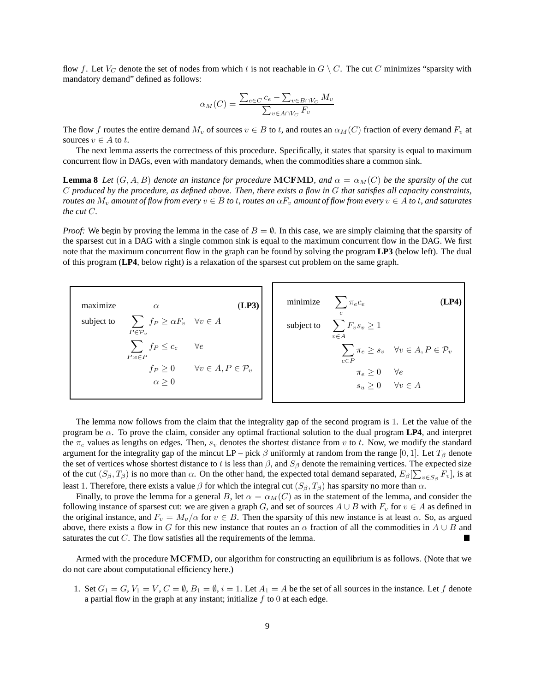flow f. Let  $V_C$  denote the set of nodes from which t is not reachable in  $G \setminus C$ . The cut C minimizes "sparsity with mandatory demand" defined as follows:

$$
\alpha_M(C) = \frac{\sum_{e \in C} c_e - \sum_{v \in B \cap V_C} M_v}{\sum_{v \in A \cap V_C} F_v}
$$

The flow f routes the entire demand  $M_v$  of sources  $v \in B$  to t, and routes an  $\alpha_M(C)$  fraction of every demand  $F_v$  at sources  $v \in A$  to t.

The next lemma asserts the correctness of this procedure. Specifically, it states that sparsity is equal to maximum concurrent flow in DAGs, even with mandatory demands, when the commodities share a common sink.

**Lemma 8** *Let*  $(G, A, B)$  *denote an instance for procedure* **MCFMD***, and*  $\alpha = \alpha_M(C)$  *be the sparsity of the cut* C *produced by the procedure, as defined above. Then, there exists a flow in* G *that satisfies all capacity constraints, routes an*  $M_v$  *amount of flow from every*  $v \in B$  *to t, routes an*  $\alpha F_v$  *amount of flow from every*  $v \in A$  *to t, and saturates the cut* C*.*

*Proof:* We begin by proving the lemma in the case of  $B = \emptyset$ . In this case, we are simply claiming that the sparsity of the sparsest cut in a DAG with a single common sink is equal to the maximum concurrent flow in the DAG. We first note that the maximum concurrent flow in the graph can be found by solving the program **LP3** (below left). The dual of this program (**LP4**, below right) is a relaxation of the sparsest cut problem on the same graph.



The lemma now follows from the claim that the integrality gap of the second program is 1. Let the value of the program be  $\alpha$ . To prove the claim, consider any optimal fractional solution to the dual program **LP4**, and interpret the  $\pi_e$  values as lengths on edges. Then,  $s_v$  denotes the shortest distance from v to t. Now, we modify the standard argument for the integrality gap of the mincut LP – pick  $\beta$  uniformly at random from the range [0, 1]. Let  $T_\beta$  denote the set of vertices whose shortest distance to t is less than  $\beta$ , and  $S_\beta$  denote the remaining vertices. The expected size of the cut  $(S_\beta, T_\beta)$  is no more than  $\alpha$ . On the other hand, the expected total demand separated,  $E_\beta[\sum_{v \in S_\beta} F_v]$ , is at least 1. Therefore, there exists a value  $\beta$  for which the integral cut ( $S_{\beta}$ ,  $T_{\beta}$ ) has sparsity no more than  $\alpha$ .

Finally, to prove the lemma for a general B, let  $\alpha = \alpha_M(C)$  as in the statement of the lemma, and consider the following instance of sparsest cut: we are given a graph G, and set of sources  $A \cup B$  with  $F_v$  for  $v \in A$  as defined in the original instance, and  $F_v = M_v/\alpha$  for  $v \in B$ . Then the sparsity of this new instance is at least  $\alpha$ . So, as argued above, there exists a flow in G for this new instance that routes an  $\alpha$  fraction of all the commodities in  $A \cup B$  and saturates the cut C. The flow satisfies all the requirements of the lemma. П

Armed with the procedure MCFMD, our algorithm for constructing an equilibrium is as follows. (Note that we do not care about computational efficiency here.)

1. Set  $G_1 = G$ ,  $V_1 = V$ ,  $C = \emptyset$ ,  $B_1 = \emptyset$ ,  $i = 1$ . Let  $A_1 = A$  be the set of all sources in the instance. Let f denote a partial flow in the graph at any instant; initialize  $f$  to 0 at each edge.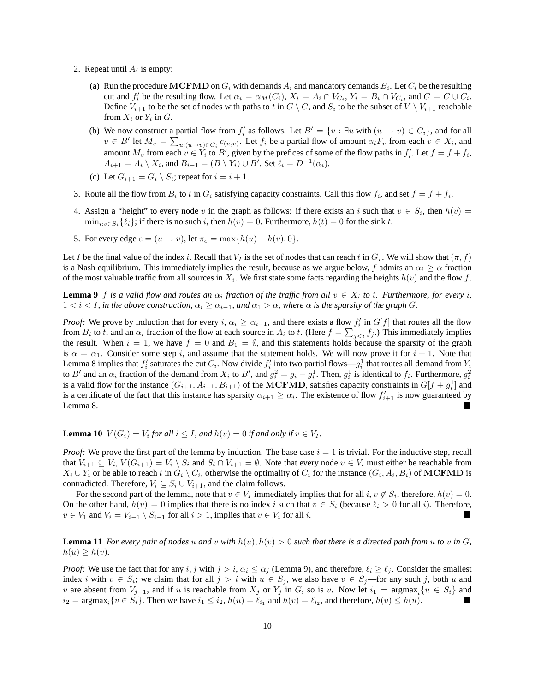- 2. Repeat until  $A_i$  is empty:
	- (a) Run the procedure MCFMD on  $G_i$  with demands  $A_i$  and mandatory demands  $B_i$ . Let  $C_i$  be the resulting cut and  $f'_i$  be the resulting flow. Let  $\alpha_i = \alpha_M(C_i)$ ,  $X_i = A_i \cap V_{C_i}$ ,  $Y_i = B_i \cap V_{C_i}$ , and  $C = C \cup C_i$ . Define  $V_{i+1}$  to be the set of nodes with paths to  $t$  in  $G \setminus C$ , and  $S_i$  to be the subset of  $V \setminus V_{i+1}$  reachable from  $X_i$  or  $Y_i$  in  $G$ .
	- (b) We now construct a partial flow from  $f'_i$  as follows. Let  $B' = \{v : \exists u \text{ with } (u \to v) \in C_i\}$ , and for all  $v \in B'$  let  $M_v = \sum_{u:(u \to v) \in C_i} c_{(u,v)}$ . Let  $f_i$  be a partial flow of amount  $\alpha_i F_v$  from each  $v \in X_i$ , and amount  $M_v$  from each  $v \in Y_i$  to  $B'$ , given by the prefices of some of the flow paths in  $f'_i$ . Let  $f = f + f_i$ ,  $A_{i+1} = A_i \setminus X_i$ , and  $B_{i+1} = (B \setminus Y_i) \cup B'$ . Set  $\ell_i = D^{-1}(\alpha_i)$ .
	- (c) Let  $G_{i+1} = G_i \setminus S_i$ ; repeat for  $i = i + 1$ .
- 3. Route all the flow from  $B_i$  to t in  $G_i$  satisfying capacity constraints. Call this flow  $f_i$ , and set  $f = f + f_i$ .
- 4. Assign a "height" to every node v in the graph as follows: if there exists an i such that  $v \in S_i$ , then  $h(v) =$  $\min_{i:v \in S_i} {\{\ell_i\}}$ ; if there is no such i, then  $h(v) = 0$ . Furthermore,  $h(t) = 0$  for the sink t.
- 5. For every edge  $e = (u \rightarrow v)$ , let  $\pi_e = \max\{h(u) h(v), 0\}$ .

Let I be the final value of the index i. Recall that  $V_I$  is the set of nodes that can reach t in  $G_I$ . We will show that  $(\pi, f)$ is a Nash equilibrium. This immediately implies the result, because as we argue below, f admits an  $\alpha_i \geq \alpha$  fraction of the most valuable traffic from all sources in  $X_i$ . We first state some facts regarding the heights  $h(v)$  and the flow f.

**Lemma 9** f is a valid flow and routes an  $\alpha_i$  fraction of the traffic from all  $v \in X_i$  to t. Furthermore, for every i,  $1 < i < I$ *, in the above construction,*  $\alpha_i \geq \alpha_{i-1}$ *, and*  $\alpha_1 > \alpha$ *, where*  $\alpha$  *is the sparsity of the graph* G*.* 

*Proof:* We prove by induction that for every  $i, \alpha_i \geq \alpha_{i-1}$ , and there exists a flow  $f'_i$  in  $G[f]$  that routes all the flow from  $B_i$  to t, and an  $\alpha_i$  fraction of the flow at each source in  $A_i$  to t. (Here  $f = \sum_{j \le i} f_j$ .) This immediately implies the result. When  $i = 1$ , we have  $f = 0$  and  $B_1 = \emptyset$ , and this statements holds because the sparsity of the graph is  $\alpha = \alpha_1$ . Consider some step i, and assume that the statement holds. We will now prove it for  $i + 1$ . Note that Lemma 8 implies that  $f_i'$  saturates the cut  $C_i$ . Now divide  $f_i'$  into two partial flows— $g_i^1$  that routes all demand from  $Y_i$ to B' and an  $\alpha_i$  fraction of the demand from  $X_i$  to B', and  $g_i^2 = g_i - g_i^1$ . Then,  $g_i^1$  is identical to  $f_i$ . Furthermore,  $g_i^2$ is a valid flow for the instance  $(G_{i+1}, A_{i+1}, B_{i+1})$  of the MCFMD, satisfies capacity constraints in  $G[f + g_i^1]$  and is a certificate of the fact that this instance has sparsity  $\alpha_{i+1} \geq \alpha_i$ . The existence of flow  $f'_{i+1}$  is now guaranteed by Lemma 8.

**Lemma 10**  $V(G_i) = V_i$  for all  $i \leq I$ , and  $h(v) = 0$  if and only if  $v \in V_I$ .

*Proof:* We prove the first part of the lemma by induction. The base case  $i = 1$  is trivial. For the inductive step, recall that  $V_{i+1} \subseteq V_i$ ,  $V(G_{i+1}) = V_i \setminus S_i$  and  $S_i \cap V_{i+1} = \emptyset$ . Note that every node  $v \in V_i$  must either be reachable from  $X_i \cup Y_i$  or be able to reach t in  $G_i \setminus C_i$ , otherwise the optimality of  $C_i$  for the instance  $(G_i, A_i, B_i)$  of MCFMD is contradicted. Therefore,  $V_i \subseteq S_i \cup V_{i+1}$ , and the claim follows.

For the second part of the lemma, note that  $v \in V_I$  immediately implies that for all  $i, v \notin S_i$ , therefore,  $h(v) = 0$ . On the other hand,  $h(v) = 0$  implies that there is no index i such that  $v \in S_i$  (because  $\ell_i > 0$  for all i). Therefore,  $v \in V_1$  and  $V_i = V_{i-1} \setminus S_{i-1}$  for all  $i > 1$ , implies that  $v \in V_i$  for all i. П

**Lemma 11** For every pair of nodes u and v with  $h(u)$ ,  $h(v) > 0$  such that there is a directed path from u to v in G,  $h(u) \geq h(v)$ .

*Proof:* We use the fact that for any  $i, j$  with  $j > i$ ,  $\alpha_i \leq \alpha_j$  (Lemma 9), and therefore,  $\ell_i \geq \ell_j$ . Consider the smallest index i with  $v \in S_i$ ; we claim that for all  $j > i$  with  $u \in S_j$ , we also have  $v \in S_j$ —for any such j, both u and v are absent from  $V_{j+1}$ , and if u is reachable from  $X_j$  or  $Y_j$  in G, so is v. Now let  $i_1 = \text{argmax}_i \{u \in S_i\}$  and  $i_2 = \text{argmax}_i \{v \in S_i\}.$  Then we have  $i_1 \leq i_2$ ,  $h(u) = \ell_{i_1}$  and  $h(v) = \ell_{i_2}$ , and therefore,  $h(v) \leq h(u)$ . П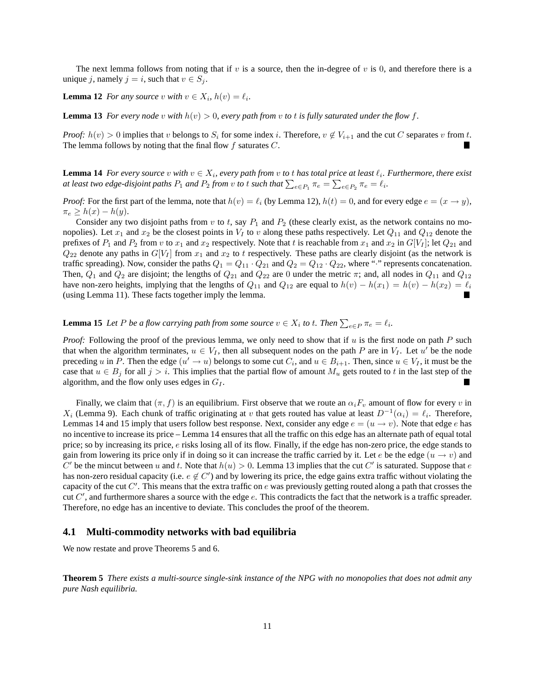The next lemma follows from noting that if v is a source, then the in-degree of v is 0, and therefore there is a unique j, namely  $j = i$ , such that  $v \in S_j$ .

**Lemma 12** *For any source v with*  $v \in X_i$ ,  $h(v) = \ell_i$ .

**Lemma 13** *For every node v with*  $h(v) > 0$ *, every path from v to t is fully saturated under the flow f.* 

*Proof:*  $h(v) > 0$  implies that v belongs to  $S_i$  for some index i. Therefore,  $v \notin V_{i+1}$  and the cut C separates v from t. The lemma follows by noting that the final flow  $f$  saturates  $C$ . П

**Lemma 14** For every source  $v$  with  $v \in X_i$ , every path from  $v$  to  $t$  has total price at least  $\ell_i$ . Furthermore, there exist *at least two edge-disjoint paths*  $P_1$  *and*  $P_2$  *from*  $v$  *to*  $t$  *such that*  $\sum_{e\in P_1}\pi_e=\sum_{e\in P_2}\pi_e=\ell_i.$ 

*Proof:* For the first part of the lemma, note that  $h(v) = \ell_i$  (by Lemma 12),  $h(t) = 0$ , and for every edge  $e = (x \rightarrow y)$ ,  $\pi_e \geq h(x) - h(y).$ 

Consider any two disjoint paths from v to t, say  $P_1$  and  $P_2$  (these clearly exist, as the network contains no monopolies). Let  $x_1$  and  $x_2$  be the closest points in  $V_I$  to v along these paths respectively. Let  $Q_{11}$  and  $Q_{12}$  denote the prefixes of  $P_1$  and  $P_2$  from v to  $x_1$  and  $x_2$  respectively. Note that t is reachable from  $x_1$  and  $x_2$  in  $G[V_1]$ ; let  $Q_{21}$  and  $Q_{22}$  denote any paths in  $G[V_I]$  from  $x_1$  and  $x_2$  to t respectively. These paths are clearly disjoint (as the network is traffic spreading). Now, consider the paths  $Q_1 = Q_{11} \cdot Q_{21}$  and  $Q_2 = Q_{12} \cdot Q_{22}$ , where "·" represents concatenation. Then,  $Q_1$  and  $Q_2$  are disjoint; the lengths of  $Q_{21}$  and  $Q_{22}$  are 0 under the metric  $\pi$ ; and, all nodes in  $Q_{11}$  and  $Q_{12}$ have non-zero heights, implying that the lengths of  $Q_{11}$  and  $Q_{12}$  are equal to  $h(v) - h(x_1) = h(v) - h(x_2) = \ell_i$ (using Lemma 11). These facts together imply the lemma.

**Lemma 15** Let P be a flow carrying path from some source  $v \in X_i$  to t. Then  $\sum_{e \in P} \pi_e = \ell_i$ .

*Proof:* Following the proof of the previous lemma, we only need to show that if u is the first node on path P such that when the algorithm terminates,  $u \in V_I$ , then all subsequent nodes on the path P are in  $V_I$ . Let u' be the node preceding u in P. Then the edge  $(u' \to u)$  belongs to some cut  $C_i$ , and  $u \in B_{i+1}$ . Then, since  $u \in V_I$ , it must be the case that  $u \in B_i$  for all  $j > i$ . This implies that the partial flow of amount  $M_u$  gets routed to t in the last step of the algorithm, and the flow only uses edges in  $G_I$ .

Finally, we claim that  $(\pi, f)$  is an equilibrium. First observe that we route an  $\alpha_i F_v$  amount of flow for every v in  $X_i$  (Lemma 9). Each chunk of traffic originating at v that gets routed has value at least  $D^{-1}(\alpha_i) = \ell_i$ . Therefore, Lemmas 14 and 15 imply that users follow best response. Next, consider any edge  $e = (u \rightarrow v)$ . Note that edge e has no incentive to increase its price – Lemma 14 ensures that all the traffic on this edge has an alternate path of equal total price; so by increasing its price, e risks losing all of its flow. Finally, if the edge has non-zero price, the edge stands to gain from lowering its price only if in doing so it can increase the traffic carried by it. Let e be the edge  $(u \to v)$  and C' be the mincut between u and t. Note that  $h(u) > 0$ . Lemma 13 implies that the cut C' is saturated. Suppose that e has non-zero residual capacity (i.e.  $e \notin C'$ ) and by lowering its price, the edge gains extra traffic without violating the capacity of the cut  $C'$ . This means that the extra traffic on  $e$  was previously getting routed along a path that crosses the cut  $C'$ , and furthermore shares a source with the edge  $e$ . This contradicts the fact that the network is a traffic spreader. Therefore, no edge has an incentive to deviate. This concludes the proof of the theorem.

#### **4.1 Multi-commodity networks with bad equilibria**

We now restate and prove Theorems 5 and 6.

**Theorem 5** *There exists a multi-source single-sink instance of the NPG with no monopolies that does not admit any pure Nash equilibria.*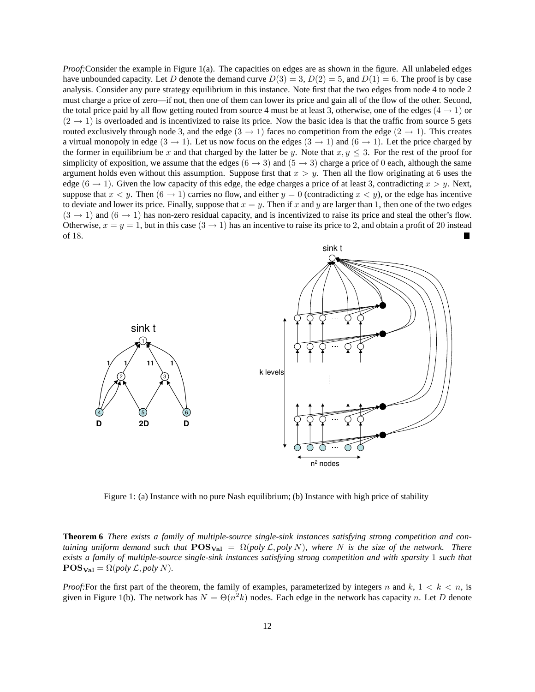*Proof:*Consider the example in Figure 1(a). The capacities on edges are as shown in the figure. All unlabeled edges have unbounded capacity. Let D denote the demand curve  $D(3) = 3$ ,  $D(2) = 5$ , and  $D(1) = 6$ . The proof is by case analysis. Consider any pure strategy equilibrium in this instance. Note first that the two edges from node 4 to node 2 must charge a price of zero—if not, then one of them can lower its price and gain all of the flow of the other. Second, the total price paid by all flow getting routed from source 4 must be at least 3, otherwise, one of the edges  $(4 \rightarrow 1)$  or  $(2 \rightarrow 1)$  is overloaded and is incentivized to raise its price. Now the basic idea is that the traffic from source 5 gets routed exclusively through node 3, and the edge  $(3 \rightarrow 1)$  faces no competition from the edge  $(2 \rightarrow 1)$ . This creates a virtual monopoly in edge  $(3 \rightarrow 1)$ . Let us now focus on the edges  $(3 \rightarrow 1)$  and  $(6 \rightarrow 1)$ . Let the price charged by the former in equilibrium be x and that charged by the latter be y. Note that  $x, y \le 3$ . For the rest of the proof for simplicity of exposition, we assume that the edges  $(6 \rightarrow 3)$  and  $(5 \rightarrow 3)$  charge a price of 0 each, although the same argument holds even without this assumption. Suppose first that  $x > y$ . Then all the flow originating at 6 uses the edge (6  $\rightarrow$  1). Given the low capacity of this edge, the edge charges a price of at least 3, contradicting  $x > y$ . Next, suppose that  $x < y$ . Then  $(6 \rightarrow 1)$  carries no flow, and either  $y = 0$  (contradicting  $x < y$ ), or the edge has incentive to deviate and lower its price. Finally, suppose that  $x = y$ . Then if x and y are larger than 1, then one of the two edges  $(3 \rightarrow 1)$  and  $(6 \rightarrow 1)$  has non-zero residual capacity, and is incentivized to raise its price and steal the other's flow. Otherwise,  $x = y = 1$ , but in this case  $(3 \rightarrow 1)$  has an incentive to raise its price to 2, and obtain a profit of 20 instead of 18. П



Figure 1: (a) Instance with no pure Nash equilibrium; (b) Instance with high price of stability

**Theorem 6** *There exists a family of multiple-source single-sink instances satisfying strong competition and containing uniform demand such that*  $POS_{Val} = \Omega(poly \mathcal{L}, poly N)$ *, where* N *is the size of the network. There exists a family of multiple-source single-sink instances satisfying strong competition and with sparsity* 1 *such that*  $\textbf{POS}_{\textbf{Val}} = \Omega(\text{poly }\mathcal{L}, \text{poly }N).$ 

*Proof:*For the first part of the theorem, the family of examples, parameterized by integers n and  $k, 1 \leq k \leq n$ , is given in Figure 1(b). The network has  $N = \Theta(n^2 k)$  nodes. Each edge in the network has capacity n. Let D denote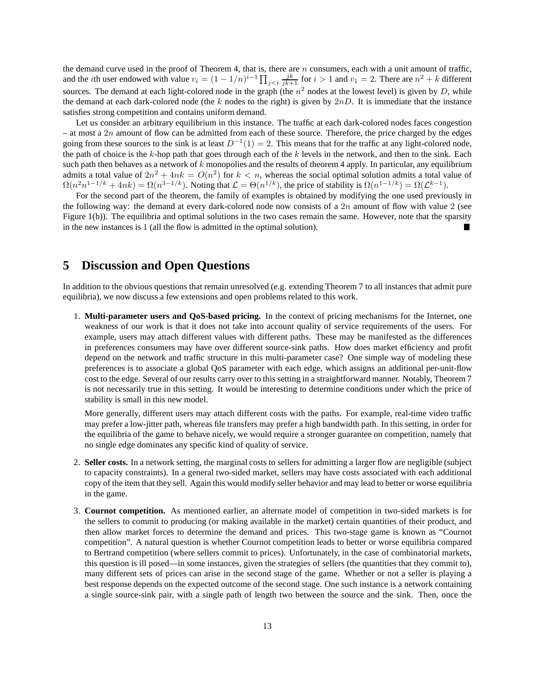the demand curve used in the proof of Theorem 4, that is, there are  $n$  consumers, each with a unit amount of traffic, and the *i*th user endowed with value  $v_i = (1 - 1/n)^{i-1} \prod_{j < i} \frac{jk}{jk+1}$  for  $i > 1$  and  $v_1 = 2$ . There are  $n^2 + k$  different sources. The demand at each light-colored node in the graph (the  $n^2$  nodes at the lowest level) is given by D, while the demand at each dark-colored node (the k nodes to the right) is given by  $2nD$ . It is immediate that the instance satisfies strong competition and contains uniform demand.

Let us consider an arbitrary equilibrium in this instance. The traffic at each dark-colored nodes faces congestion – at most a  $2n$  amount of flow can be admitted from each of these source. Therefore, the price charged by the edges going from these sources to the sink is at least  $D^{-1}(1) = 2$ . This means that for the traffic at any light-colored node, the path of choice is the  $k$ -hop path that goes through each of the k levels in the network, and then to the sink. Each such path then behaves as a network of k monopolies and the results of theorem 4 apply. In particular, any equilibrium admits a total value of  $2n^2 + 4nk = O(n^2)$  for  $k < n$ , whereas the social optimal solution admits a total value of  $\Omega(n^2n^{1-1/k} + 4nk) = \Omega(n^{3-1/k})$ . Noting that  $\mathcal{L} = \Theta(n^{1/k})$ , the price of stability is  $\Omega(n^{1-1/k}) = \Omega(\mathcal{L}^{k-1})$ .

For the second part of the theorem, the family of examples is obtained by modifying the one used previously in the following way: the demand at every dark-colored node now consists of a  $2n$  amount of flow with value 2 (see Figure 1(b)). The equilibria and optimal solutions in the two cases remain the same. However, note that the sparsity in the new instances is 1 (all the flow is admitted in the optimal solution).

### **5 Discussion and Open Questions**

In addition to the obvious questions that remain unresolved (e.g. extending Theorem 7 to all instances that admit pure equilibria), we now discuss a few extensions and open problems related to this work.

1. **Multi-parameter users and QoS-based pricing.** In the context of pricing mechanisms for the Internet, one weakness of our work is that it does not take into account quality of service requirements of the users. For example, users may attach different values with different paths. These may be manifested as the differences in preferences consumers may have over different source-sink paths. How does market efficiency and profit depend on the network and traffic structure in this multi-parameter case? One simple way of modeling these preferences is to associate a global QoS parameter with each edge, which assigns an additional per-unit-flow cost to the edge. Several of our results carry over to this setting in a straightforward manner. Notably, Theorem 7 is not necessarily true in this setting. It would be interesting to determine conditions under which the price of stability is small in this new model.

More generally, different users may attach different costs with the paths. For example, real-time video traffic may prefer a low-jitter path, whereas file transfers may prefer a high bandwidth path. In this setting, in order for the equilibria of the game to behave nicely, we would require a stronger guarantee on competition, namely that no single edge dominates any specific kind of quality of service.

- 2. **Seller costs.** In a network setting, the marginal costs to sellers for admitting a larger flow are negligible (subject to capacity constraints). In a general two-sided market, sellers may have costs associated with each additional copy of the item that they sell. Again this would modify seller behavior and may lead to better or worse equilibria in the game.
- 3. **Cournot competition.** As mentioned earlier, an alternate model of competition in two-sided markets is for the sellers to commit to producing (or making available in the market) certain quantities of their product, and then allow market forces to determine the demand and prices. This two-stage game is known as "Cournot competition". A natural question is whether Cournot competition leads to better or worse equilibria compared to Bertrand competition (where sellers commit to prices). Unfortunately, in the case of combinatorial markets, this question is ill posed—in some instances, given the strategies of sellers (the quantities that they commit to), many different sets of prices can arise in the second stage of the game. Whether or not a seller is playing a best response depends on the expected outcome of the second stage. One such instance is a network containing a single source-sink pair, with a single path of length two between the source and the sink. Then, once the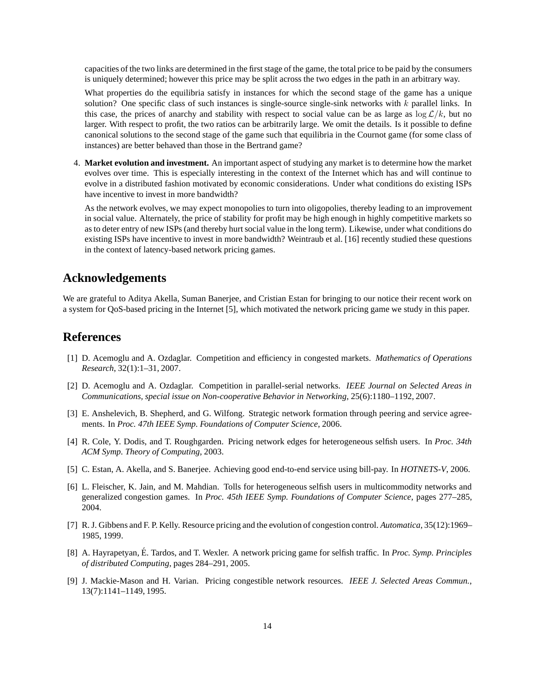capacities of the two links are determined in the first stage of the game, the total price to be paid by the consumers is uniquely determined; however this price may be split across the two edges in the path in an arbitrary way.

What properties do the equilibria satisfy in instances for which the second stage of the game has a unique solution? One specific class of such instances is single-source single-sink networks with  $k$  parallel links. In this case, the prices of anarchy and stability with respect to social value can be as large as  $\log \mathcal{L}/k$ , but no larger. With respect to profit, the two ratios can be arbitrarily large. We omit the details. Is it possible to define canonical solutions to the second stage of the game such that equilibria in the Cournot game (for some class of instances) are better behaved than those in the Bertrand game?

4. **Market evolution and investment.** An important aspect of studying any market is to determine how the market evolves over time. This is especially interesting in the context of the Internet which has and will continue to evolve in a distributed fashion motivated by economic considerations. Under what conditions do existing ISPs have incentive to invest in more bandwidth?

As the network evolves, we may expect monopolies to turn into oligopolies, thereby leading to an improvement in social value. Alternately, the price of stability for profit may be high enough in highly competitive markets so as to deter entry of new ISPs (and thereby hurt social value in the long term). Likewise, under what conditions do existing ISPs have incentive to invest in more bandwidth? Weintraub et al. [16] recently studied these questions in the context of latency-based network pricing games.

## **Acknowledgements**

We are grateful to Aditya Akella, Suman Banerjee, and Cristian Estan for bringing to our notice their recent work on a system for QoS-based pricing in the Internet [5], which motivated the network pricing game we study in this paper.

### **References**

- [1] D. Acemoglu and A. Ozdaglar. Competition and efficiency in congested markets. *Mathematics of Operations Research*, 32(1):1–31, 2007.
- [2] D. Acemoglu and A. Ozdaglar. Competition in parallel-serial networks. *IEEE Journal on Selected Areas in Communications, special issue on Non-cooperative Behavior in Networking*, 25(6):1180–1192, 2007.
- [3] E. Anshelevich, B. Shepherd, and G. Wilfong. Strategic network formation through peering and service agreements. In *Proc. 47th IEEE Symp. Foundations of Computer Science*, 2006.
- [4] R. Cole, Y. Dodis, and T. Roughgarden. Pricing network edges for heterogeneous selfish users. In *Proc. 34th ACM Symp. Theory of Computing*, 2003.
- [5] C. Estan, A. Akella, and S. Banerjee. Achieving good end-to-end service using bill-pay. In *HOTNETS-V*, 2006.
- [6] L. Fleischer, K. Jain, and M. Mahdian. Tolls for heterogeneous selfish users in multicommodity networks and generalized congestion games. In *Proc. 45th IEEE Symp. Foundations of Computer Science*, pages 277–285, 2004.
- [7] R. J. Gibbens and F. P. Kelly. Resource pricing and the evolution of congestion control. *Automatica*, 35(12):1969– 1985, 1999.
- [8] A. Hayrapetyan, É. Tardos, and T. Wexler. A network pricing game for selfish traffic. In *Proc. Symp. Principles of distributed Computing*, pages 284–291, 2005.
- [9] J. Mackie-Mason and H. Varian. Pricing congestible network resources. *IEEE J. Selected Areas Commun.*, 13(7):1141–1149, 1995.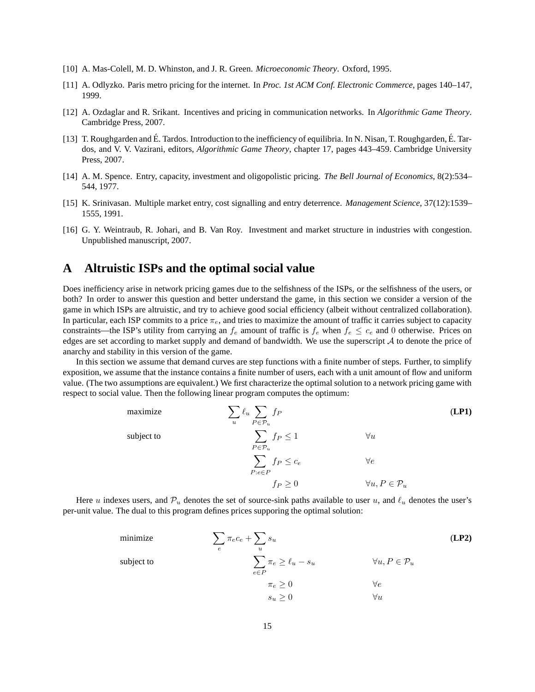- [10] A. Mas-Colell, M. D. Whinston, and J. R. Green. *Microeconomic Theory*. Oxford, 1995.
- [11] A. Odlyzko. Paris metro pricing for the internet. In *Proc. 1st ACM Conf. Electronic Commerce*, pages 140–147, 1999.
- [12] A. Ozdaglar and R. Srikant. Incentives and pricing in communication networks. In *Algorithmic Game Theory*. Cambridge Press, 2007.
- [13] T. Roughgarden and É. Tardos. Introduction to the inefficiency of equilibria. In N. Nisan, T. Roughgarden, É. Tardos, and V. V. Vazirani, editors, *Algorithmic Game Theory*, chapter 17, pages 443–459. Cambridge University Press, 2007.
- [14] A. M. Spence. Entry, capacity, investment and oligopolistic pricing. *The Bell Journal of Economics*, 8(2):534– 544, 1977.
- [15] K. Srinivasan. Multiple market entry, cost signalling and entry deterrence. *Management Science*, 37(12):1539– 1555, 1991.
- [16] G. Y. Weintraub, R. Johari, and B. Van Roy. Investment and market structure in industries with congestion. Unpublished manuscript, 2007.

### **A Altruistic ISPs and the optimal social value**

Does inefficiency arise in network pricing games due to the selfishness of the ISPs, or the selfishness of the users, or both? In order to answer this question and better understand the game, in this section we consider a version of the game in which ISPs are altruistic, and try to achieve good social efficiency (albeit without centralized collaboration). In particular, each ISP commits to a price  $\pi_e$ , and tries to maximize the amount of traffic it carries subject to capacity constraints—the ISP's utility from carrying an  $f_e$  amount of traffic is  $f_e$  when  $f_e \leq c_e$  and 0 otherwise. Prices on edges are set according to market supply and demand of bandwidth. We use the superscript  $A$  to denote the price of anarchy and stability in this version of the game.

In this section we assume that demand curves are step functions with a finite number of steps. Further, to simplify exposition, we assume that the instance contains a finite number of users, each with a unit amount of flow and uniform value. (The two assumptions are equivalent.) We first characterize the optimal solution to a network pricing game with respect to social value. Then the following linear program computes the optimum:

maximize  
\nsubject to  
\n
$$
\sum_{u} \ell_{u} \sum_{P \in \mathcal{P}_{u}} f_{P}
$$
\n
$$
\sum_{P \in \mathcal{P}_{u}} f_{P} \le 1 \qquad \forall u
$$
\n
$$
\sum_{P : e \in P} f_{P} \le c_{e} \qquad \forall e
$$
\n
$$
f_{P} \ge 0 \qquad \forall u, P \in \mathcal{P}_{u}
$$
\n(LP1)

Here u indexes users, and  $\mathcal{P}_u$  denotes the set of source-sink paths available to user u, and  $\ell_u$  denotes the user's per-unit value. The dual to this program defines prices supporing the optimal solution:

minimize  
\nsubject to  
\n
$$
\sum_{e} \pi_{e} c_{e} + \sum_{u} s_{u}
$$
\n
$$
\sum_{e \in P} \pi_{e} \ge \ell_{u} - s_{u}
$$
\n
$$
\pi_{e} \ge 0
$$
\n
$$
s_{u} \ge 0
$$
\n
$$
\forall u, P \in \mathcal{P}_{u}
$$
\n
$$
\forall e
$$
\n
$$
s_{u} \ge 0
$$
\n
$$
\forall u
$$
\n(LP2)